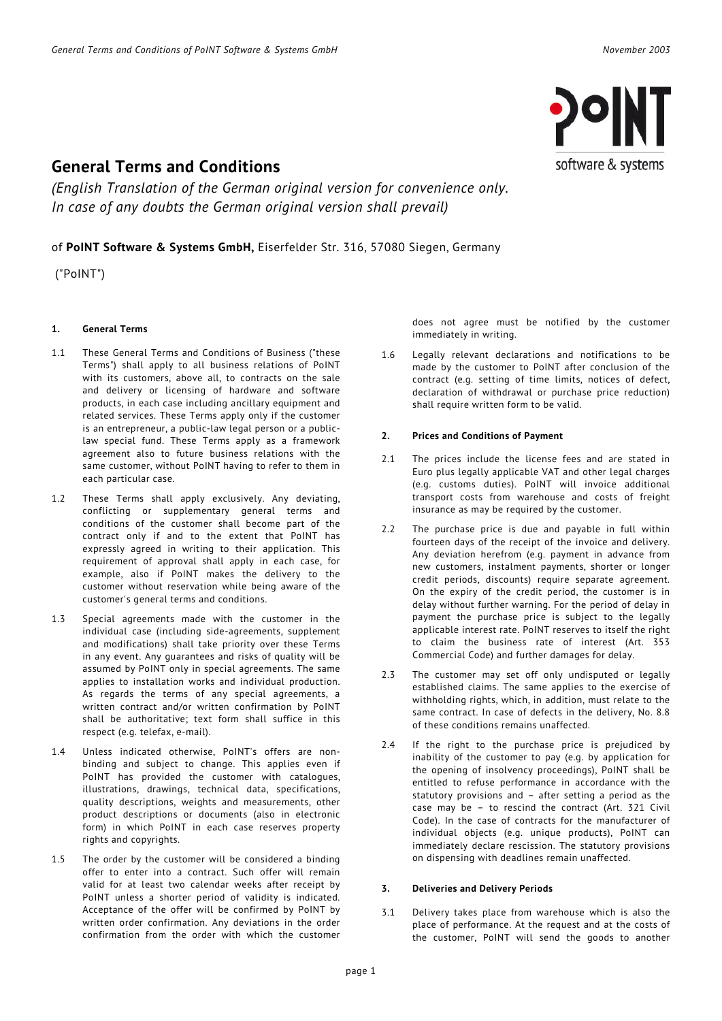

# **General Terms and Conditions**

*(English Translation of the German original version for convenience only. In case of any doubts the German original version shall prevail)*

## of **PoINT Software & Systems GmbH,** Eiserfelder Str. 316, 57080 Siegen, Germany

("PoINT")

### **1. General Terms**

- 1.1 These General Terms and Conditions of Business ("these Terms") shall apply to all business relations of PoINT with its customers, above all, to contracts on the sale and delivery or licensing of hardware and software products, in each case including ancillary equipment and related services. These Terms apply only if the customer is an entrepreneur, a public-law legal person or a publiclaw special fund. These Terms apply as a framework agreement also to future business relations with the same customer, without PoINT having to refer to them in each particular case.
- 1.2 These Terms shall apply exclusively. Any deviating, conflicting or supplementary general terms and conditions of the customer shall become part of the contract only if and to the extent that PoINT has expressly agreed in writing to their application. This requirement of approval shall apply in each case, for example, also if PoINT makes the delivery to the customer without reservation while being aware of the customer's general terms and conditions.
- 1.3 Special agreements made with the customer in the individual case (including side-agreements, supplement and modifications) shall take priority over these Terms in any event. Any guarantees and risks of quality will be assumed by PoINT only in special agreements. The same applies to installation works and individual production. As regards the terms of any special agreements, a written contract and/or written confirmation by PoINT shall be authoritative; text form shall suffice in this respect (e.g. telefax, e-mail).
- 1.4 Unless indicated otherwise, PoINT's offers are nonbinding and subject to change. This applies even if PoINT has provided the customer with catalogues, illustrations, drawings, technical data, specifications, quality descriptions, weights and measurements, other product descriptions or documents (also in electronic form) in which PoINT in each case reserves property rights and copyrights.
- 1.5 The order by the customer will be considered a binding offer to enter into a contract. Such offer will remain valid for at least two calendar weeks after receipt by PoINT unless a shorter period of validity is indicated. Acceptance of the offer will be confirmed by PoINT by written order confirmation. Any deviations in the order confirmation from the order with which the customer

does not agree must be notified by the customer immediately in writing.

1.6 Legally relevant declarations and notifications to be made by the customer to PoINT after conclusion of the contract (e.g. setting of time limits, notices of defect, declaration of withdrawal or purchase price reduction) shall require written form to be valid.

#### **2. Prices and Conditions of Payment**

- 2.1 The prices include the license fees and are stated in Euro plus legally applicable VAT and other legal charges (e.g. customs duties). PoINT will invoice additional transport costs from warehouse and costs of freight insurance as may be required by the customer.
- 2.2 The purchase price is due and payable in full within fourteen days of the receipt of the invoice and delivery. Any deviation herefrom (e.g. payment in advance from new customers, instalment payments, shorter or longer credit periods, discounts) require separate agreement. On the expiry of the credit period, the customer is in delay without further warning. For the period of delay in payment the purchase price is subject to the legally applicable interest rate. PoINT reserves to itself the right to claim the business rate of interest (Art. 353 Commercial Code) and further damages for delay.
- 2.3 The customer may set off only undisputed or legally established claims. The same applies to the exercise of withholding rights, which, in addition, must relate to the same contract. In case of defects in the delivery, No. 8.8 of these conditions remains unaffected.
- 2.4 If the right to the purchase price is prejudiced by inability of the customer to pay (e.g. by application for the opening of insolvency proceedings), PoINT shall be entitled to refuse performance in accordance with the statutory provisions and – after setting a period as the case may be – to rescind the contract (Art. 321 Civil Code). In the case of contracts for the manufacturer of individual objects (e.g. unique products), PoINT can immediately declare rescission. The statutory provisions on dispensing with deadlines remain unaffected.

### **3. Deliveries and Delivery Periods**

3.1 Delivery takes place from warehouse which is also the place of performance. At the request and at the costs of the customer, PoINT will send the goods to another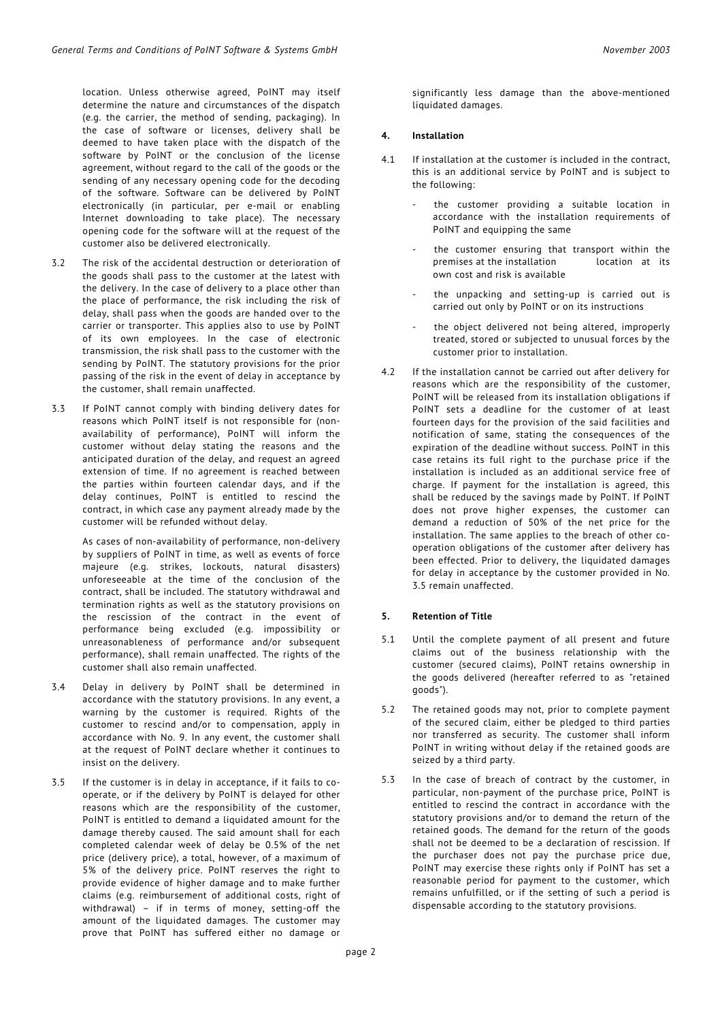location. Unless otherwise agreed, PoINT may itself determine the nature and circumstances of the dispatch (e.g. the carrier, the method of sending, packaging). In the case of software or licenses, delivery shall be deemed to have taken place with the dispatch of the software by PoINT or the conclusion of the license agreement, without regard to the call of the goods or the sending of any necessary opening code for the decoding of the software. Software can be delivered by PoINT electronically (in particular, per e-mail or enabling Internet downloading to take place). The necessary opening code for the software will at the request of the customer also be delivered electronically.

- 3.2 The risk of the accidental destruction or deterioration of the goods shall pass to the customer at the latest with the delivery. In the case of delivery to a place other than the place of performance, the risk including the risk of delay, shall pass when the goods are handed over to the carrier or transporter. This applies also to use by PoINT of its own employees. In the case of electronic transmission, the risk shall pass to the customer with the sending by PoINT. The statutory provisions for the prior passing of the risk in the event of delay in acceptance by the customer, shall remain unaffected.
- 3.3 If PoINT cannot comply with binding delivery dates for reasons which PoINT itself is not responsible for (nonavailability of performance), PoINT will inform the customer without delay stating the reasons and the anticipated duration of the delay, and request an agreed extension of time. If no agreement is reached between the parties within fourteen calendar days, and if the delay continues, PoINT is entitled to rescind the contract, in which case any payment already made by the customer will be refunded without delay.

As cases of non-availability of performance, non-delivery by suppliers of PoINT in time, as well as events of force majeure (e.g. strikes, lockouts, natural disasters) unforeseeable at the time of the conclusion of the contract, shall be included. The statutory withdrawal and termination rights as well as the statutory provisions on the rescission of the contract in the event of performance being excluded (e.g. impossibility or unreasonableness of performance and/or subsequent performance), shall remain unaffected. The rights of the customer shall also remain unaffected.

- 3.4 Delay in delivery by PoINT shall be determined in accordance with the statutory provisions. In any event, a warning by the customer is required. Rights of the customer to rescind and/or to compensation, apply in accordance with No. 9. In any event, the customer shall at the request of PoINT declare whether it continues to insist on the delivery.
- 3.5 If the customer is in delay in acceptance, if it fails to cooperate, or if the delivery by PoINT is delayed for other reasons which are the responsibility of the customer, PoINT is entitled to demand a liquidated amount for the damage thereby caused. The said amount shall for each completed calendar week of delay be 0.5% of the net price (delivery price), a total, however, of a maximum of 5% of the delivery price. PoINT reserves the right to provide evidence of higher damage and to make further claims (e.g. reimbursement of additional costs, right of withdrawal) – if in terms of money, setting-off the amount of the liquidated damages. The customer may prove that PoINT has suffered either no damage or

significantly less damage than the above-mentioned liquidated damages.

#### **4. Installation**

- 4.1 If installation at the customer is included in the contract, this is an additional service by PoINT and is subject to the following:
	- the customer providing a suitable location in accordance with the installation requirements of PoINT and equipping the same
	- the customer ensuring that transport within the premises at the installation location at its own cost and risk is available
	- the unpacking and setting-up is carried out is carried out only by PoINT or on its instructions
	- the object delivered not being altered, improperly treated, stored or subjected to unusual forces by the customer prior to installation.
- 4.2 If the installation cannot be carried out after delivery for reasons which are the responsibility of the customer, PoINT will be released from its installation obligations if PoINT sets a deadline for the customer of at least fourteen days for the provision of the said facilities and notification of same, stating the consequences of the expiration of the deadline without success. PoINT in this case retains its full right to the purchase price if the installation is included as an additional service free of charge. If payment for the installation is agreed, this shall be reduced by the savings made by PoINT. If PoINT does not prove higher expenses, the customer can demand a reduction of 50% of the net price for the installation. The same applies to the breach of other cooperation obligations of the customer after delivery has been effected. Prior to delivery, the liquidated damages for delay in acceptance by the customer provided in No. 3.5 remain unaffected.

#### **5. Retention of Title**

- 5.1 Until the complete payment of all present and future claims out of the business relationship with the customer (secured claims), PoINT retains ownership in the goods delivered (hereafter referred to as "retained goods").
- 5.2 The retained goods may not, prior to complete payment of the secured claim, either be pledged to third parties nor transferred as security. The customer shall inform PoINT in writing without delay if the retained goods are seized by a third party.
- 5.3 In the case of breach of contract by the customer, in particular, non-payment of the purchase price, PoINT is entitled to rescind the contract in accordance with the statutory provisions and/or to demand the return of the retained goods. The demand for the return of the goods shall not be deemed to be a declaration of rescission. If the purchaser does not pay the purchase price due, PoINT may exercise these rights only if PoINT has set a reasonable period for payment to the customer, which remains unfulfilled, or if the setting of such a period is dispensable according to the statutory provisions.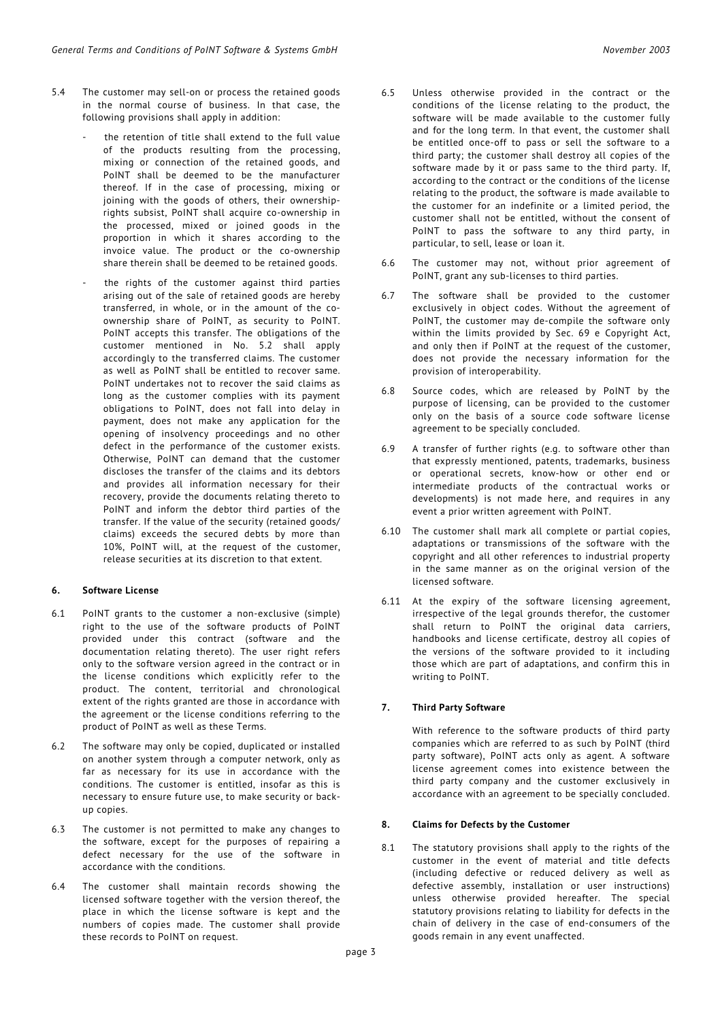- 5.4 The customer may sell-on or process the retained goods in the normal course of business. In that case, the following provisions shall apply in addition:
	- the retention of title shall extend to the full value of the products resulting from the processing, mixing or connection of the retained goods, and PoINT shall be deemed to be the manufacturer thereof. If in the case of processing, mixing or joining with the goods of others, their ownershiprights subsist, PoINT shall acquire co-ownership in the processed, mixed or joined goods in the proportion in which it shares according to the invoice value. The product or the co-ownership share therein shall be deemed to be retained goods.
	- the rights of the customer against third parties arising out of the sale of retained goods are hereby transferred, in whole, or in the amount of the coownership share of PoINT, as security to PoINT. PoINT accepts this transfer. The obligations of the customer mentioned in No. 5.2 shall apply accordingly to the transferred claims. The customer as well as PoINT shall be entitled to recover same. PoINT undertakes not to recover the said claims as long as the customer complies with its payment obligations to PoINT, does not fall into delay in payment, does not make any application for the opening of insolvency proceedings and no other defect in the performance of the customer exists. Otherwise, PoINT can demand that the customer discloses the transfer of the claims and its debtors and provides all information necessary for their recovery, provide the documents relating thereto to PoINT and inform the debtor third parties of the transfer. If the value of the security (retained goods/ claims) exceeds the secured debts by more than 10%, PoINT will, at the request of the customer, release securities at its discretion to that extent.

## **6. Software License**

- 6.1 PoINT grants to the customer a non-exclusive (simple) right to the use of the software products of PoINT provided under this contract (software and the documentation relating thereto). The user right refers only to the software version agreed in the contract or in the license conditions which explicitly refer to the product. The content, territorial and chronological extent of the rights granted are those in accordance with the agreement or the license conditions referring to the product of PoINT as well as these Terms.
- 6.2 The software may only be copied, duplicated or installed on another system through a computer network, only as far as necessary for its use in accordance with the conditions. The customer is entitled, insofar as this is necessary to ensure future use, to make security or backup copies.
- 6.3 The customer is not permitted to make any changes to the software, except for the purposes of repairing a defect necessary for the use of the software in accordance with the conditions.
- 6.4 The customer shall maintain records showing the licensed software together with the version thereof, the place in which the license software is kept and the numbers of copies made. The customer shall provide these records to PoINT on request.
- 6.5 Unless otherwise provided in the contract or the conditions of the license relating to the product, the software will be made available to the customer fully and for the long term. In that event, the customer shall be entitled once-off to pass or sell the software to a third party; the customer shall destroy all copies of the software made by it or pass same to the third party. If, according to the contract or the conditions of the license relating to the product, the software is made available to the customer for an indefinite or a limited period, the customer shall not be entitled, without the consent of PoINT to pass the software to any third party, in particular, to sell, lease or loan it.
- 6.6 The customer may not, without prior agreement of PoINT, grant any sub-licenses to third parties.
- 6.7 The software shall be provided to the customer exclusively in object codes. Without the agreement of PoINT, the customer may de-compile the software only within the limits provided by Sec. 69 e Copyright Act, and only then if PoINT at the request of the customer, does not provide the necessary information for the provision of interoperability.
- 6.8 Source codes, which are released by PoINT by the purpose of licensing, can be provided to the customer only on the basis of a source code software license agreement to be specially concluded.
- 6.9 A transfer of further rights (e.g. to software other than that expressly mentioned, patents, trademarks, business or operational secrets, know-how or other end or intermediate products of the contractual works or developments) is not made here, and requires in any event a prior written agreement with PoINT.
- 6.10 The customer shall mark all complete or partial copies, adaptations or transmissions of the software with the copyright and all other references to industrial property in the same manner as on the original version of the licensed software.
- 6.11 At the expiry of the software licensing agreement, irrespective of the legal grounds therefor, the customer shall return to PoINT the original data carriers, handbooks and license certificate, destroy all copies of the versions of the software provided to it including those which are part of adaptations, and confirm this in writing to PoINT.

#### **7. Third Party Software**

With reference to the software products of third party companies which are referred to as such by PoINT (third party software), PoINT acts only as agent. A software license agreement comes into existence between the third party company and the customer exclusively in accordance with an agreement to be specially concluded.

#### **8. Claims for Defects by the Customer**

8.1 The statutory provisions shall apply to the rights of the customer in the event of material and title defects (including defective or reduced delivery as well as defective assembly, installation or user instructions) unless otherwise provided hereafter. The special statutory provisions relating to liability for defects in the chain of delivery in the case of end-consumers of the goods remain in any event unaffected.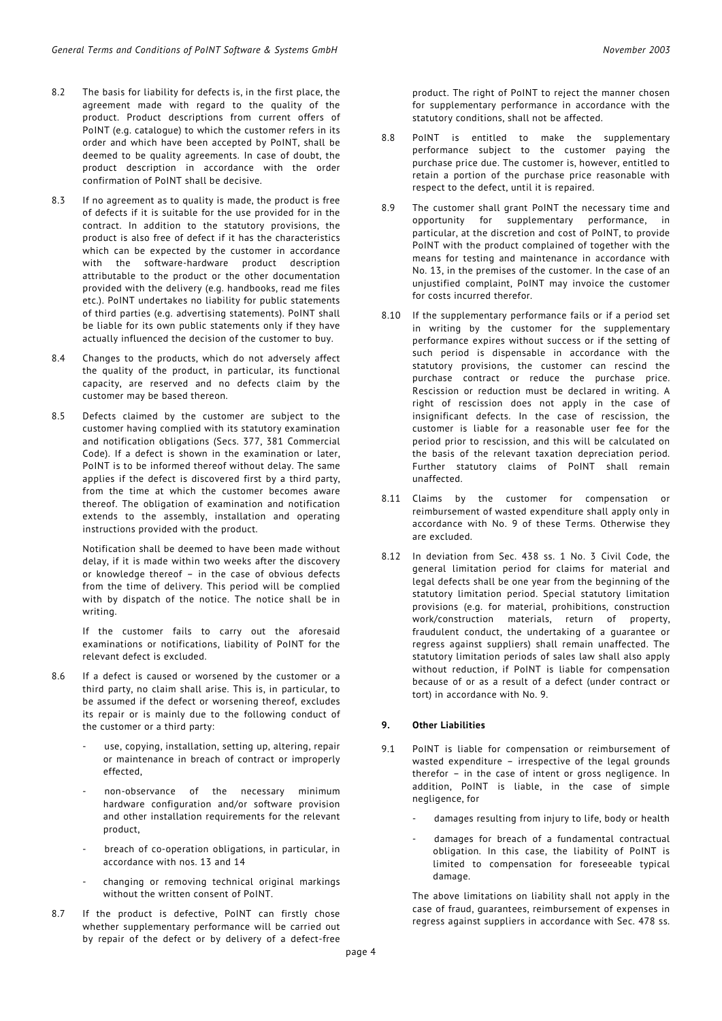- 8.2 The basis for liability for defects is, in the first place, the agreement made with regard to the quality of the product. Product descriptions from current offers of PoINT (e.g. catalogue) to which the customer refers in its order and which have been accepted by PoINT, shall be deemed to be quality agreements. In case of doubt, the product description in accordance with the order confirmation of PoINT shall be decisive.
- 8.3 If no agreement as to quality is made, the product is free of defects if it is suitable for the use provided for in the contract. In addition to the statutory provisions, the product is also free of defect if it has the characteristics which can be expected by the customer in accordance with the software-hardware product description attributable to the product or the other documentation provided with the delivery (e.g. handbooks, read me files etc.). PoINT undertakes no liability for public statements of third parties (e.g. advertising statements). PoINT shall be liable for its own public statements only if they have actually influenced the decision of the customer to buy.
- 8.4 Changes to the products, which do not adversely affect the quality of the product, in particular, its functional capacity, are reserved and no defects claim by the customer may be based thereon.
- 8.5 Defects claimed by the customer are subject to the customer having complied with its statutory examination and notification obligations (Secs. 377, 381 Commercial Code). If a defect is shown in the examination or later, PoINT is to be informed thereof without delay. The same applies if the defect is discovered first by a third party, from the time at which the customer becomes aware thereof. The obligation of examination and notification extends to the assembly, installation and operating instructions provided with the product.

Notification shall be deemed to have been made without delay, if it is made within two weeks after the discovery or knowledge thereof – in the case of obvious defects from the time of delivery. This period will be complied with by dispatch of the notice. The notice shall be in writing.

If the customer fails to carry out the aforesaid examinations or notifications, liability of PoINT for the relevant defect is excluded.

- 8.6 If a defect is caused or worsened by the customer or a third party, no claim shall arise. This is, in particular, to be assumed if the defect or worsening thereof, excludes its repair or is mainly due to the following conduct of the customer or a third party:
	- use, copying, installation, setting up, altering, repair or maintenance in breach of contract or improperly effected,
	- non-observance of the necessary minimum hardware configuration and/or software provision and other installation requirements for the relevant product,
	- breach of co-operation obligations, in particular, in accordance with nos. 13 and 14
	- changing or removing technical original markings without the written consent of PoINT.
- 8.7 If the product is defective, PoINT can firstly chose whether supplementary performance will be carried out by repair of the defect or by delivery of a defect-free

product. The right of PoINT to reject the manner chosen for supplementary performance in accordance with the statutory conditions, shall not be affected.

- 8.8 PoINT is entitled to make the supplementary performance subject to the customer paying the purchase price due. The customer is, however, entitled to retain a portion of the purchase price reasonable with respect to the defect, until it is repaired.
- 8.9 The customer shall grant PoINT the necessary time and opportunity for supplementary performance, in particular, at the discretion and cost of PoINT, to provide PoINT with the product complained of together with the means for testing and maintenance in accordance with No. 13, in the premises of the customer. In the case of an unjustified complaint, PoINT may invoice the customer for costs incurred therefor.
- 8.10 If the supplementary performance fails or if a period set in writing by the customer for the supplementary performance expires without success or if the setting of such period is dispensable in accordance with the statutory provisions, the customer can rescind the purchase contract or reduce the purchase price. Rescission or reduction must be declared in writing. A right of rescission does not apply in the case of insignificant defects. In the case of rescission, the customer is liable for a reasonable user fee for the period prior to rescission, and this will be calculated on the basis of the relevant taxation depreciation period. Further statutory claims of PoINT shall remain unaffected.
- 8.11 Claims by the customer for compensation or reimbursement of wasted expenditure shall apply only in accordance with No. 9 of these Terms. Otherwise they are excluded.
- 8.12 In deviation from Sec. 438 ss. 1 No. 3 Civil Code, the general limitation period for claims for material and legal defects shall be one year from the beginning of the statutory limitation period. Special statutory limitation provisions (e.g. for material, prohibitions, construction work/construction materials, return of property, fraudulent conduct, the undertaking of a guarantee or regress against suppliers) shall remain unaffected. The statutory limitation periods of sales law shall also apply without reduction, if PoINT is liable for compensation because of or as a result of a defect (under contract or tort) in accordance with No. 9.

### **9. Other Liabilities**

- 9.1 PoINT is liable for compensation or reimbursement of wasted expenditure – irrespective of the legal grounds therefor – in the case of intent or gross negligence. In addition, PoINT is liable, in the case of simple negligence, for
	- damages resulting from injury to life, body or health
	- damages for breach of a fundamental contractual obligation. In this case, the liability of PoINT is limited to compensation for foreseeable typical damage.

The above limitations on liability shall not apply in the case of fraud, guarantees, reimbursement of expenses in regress against suppliers in accordance with Sec. 478 ss.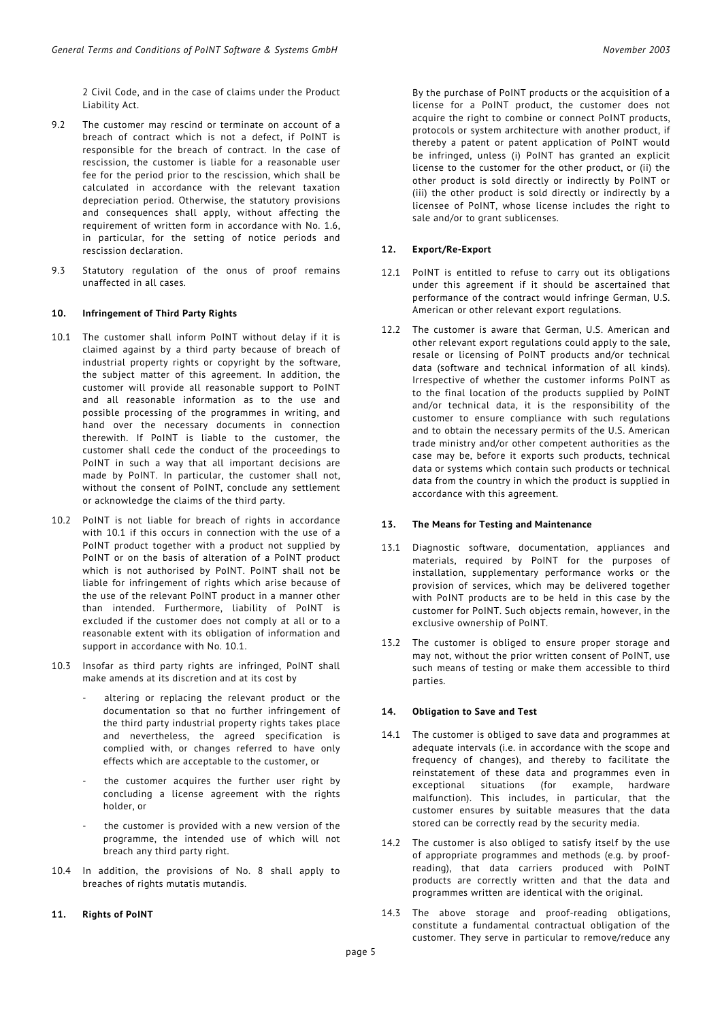2 Civil Code, and in the case of claims under the Product Liability Act.

- 9.2 The customer may rescind or terminate on account of a breach of contract which is not a defect, if PoINT is responsible for the breach of contract. In the case of rescission, the customer is liable for a reasonable user fee for the period prior to the rescission, which shall be calculated in accordance with the relevant taxation depreciation period. Otherwise, the statutory provisions and consequences shall apply, without affecting the requirement of written form in accordance with No. 1.6, in particular, for the setting of notice periods and rescission declaration.
- 9.3 Statutory regulation of the onus of proof remains unaffected in all cases.

#### **10. Infringement of Third Party Rights**

- 10.1 The customer shall inform PoINT without delay if it is claimed against by a third party because of breach of industrial property rights or copyright by the software, the subject matter of this agreement. In addition, the customer will provide all reasonable support to PoINT and all reasonable information as to the use and possible processing of the programmes in writing, and hand over the necessary documents in connection therewith. If PoINT is liable to the customer, the customer shall cede the conduct of the proceedings to PoINT in such a way that all important decisions are made by PoINT. In particular, the customer shall not, without the consent of PoINT, conclude any settlement or acknowledge the claims of the third party.
- 10.2 PoINT is not liable for breach of rights in accordance with 10.1 if this occurs in connection with the use of a PoINT product together with a product not supplied by PoINT or on the basis of alteration of a PoINT product which is not authorised by PoINT. PoINT shall not be liable for infringement of rights which arise because of the use of the relevant PoINT product in a manner other than intended. Furthermore, liability of PoINT is excluded if the customer does not comply at all or to a reasonable extent with its obligation of information and support in accordance with No. 10.1.
- 10.3 Insofar as third party rights are infringed, PoINT shall make amends at its discretion and at its cost by
	- altering or replacing the relevant product or the documentation so that no further infringement of the third party industrial property rights takes place and nevertheless, the agreed specification is complied with, or changes referred to have only effects which are acceptable to the customer, or
	- the customer acquires the further user right by concluding a license agreement with the rights holder, or
	- the customer is provided with a new version of the programme, the intended use of which will not breach any third party right.
- 10.4 In addition, the provisions of No. 8 shall apply to breaches of rights mutatis mutandis.

#### **11. Rights of PoINT**

By the purchase of PoINT products or the acquisition of a license for a PoINT product, the customer does not acquire the right to combine or connect PoINT products, protocols or system architecture with another product, if thereby a patent or patent application of PoINT would be infringed, unless (i) PoINT has granted an explicit license to the customer for the other product, or (ii) the other product is sold directly or indirectly by PoINT or (iii) the other product is sold directly or indirectly by a licensee of PoINT, whose license includes the right to sale and/or to grant sublicenses.

#### **12. Export/Re-Export**

- 12.1 PoINT is entitled to refuse to carry out its obligations under this agreement if it should be ascertained that performance of the contract would infringe German, U.S. American or other relevant export regulations.
- 12.2 The customer is aware that German, U.S. American and other relevant export regulations could apply to the sale, resale or licensing of PoINT products and/or technical data (software and technical information of all kinds). Irrespective of whether the customer informs PoINT as to the final location of the products supplied by PoINT and/or technical data, it is the responsibility of the customer to ensure compliance with such regulations and to obtain the necessary permits of the U.S. American trade ministry and/or other competent authorities as the case may be, before it exports such products, technical data or systems which contain such products or technical data from the country in which the product is supplied in accordance with this agreement.

#### **13. The Means for Testing and Maintenance**

- 13.1 Diagnostic software, documentation, appliances and materials, required by PoINT for the purposes of installation, supplementary performance works or the provision of services, which may be delivered together with PoINT products are to be held in this case by the customer for PoINT. Such objects remain, however, in the exclusive ownership of PoINT.
- 13.2 The customer is obliged to ensure proper storage and may not, without the prior written consent of PoINT, use such means of testing or make them accessible to third parties.

#### **14. Obligation to Save and Test**

- 14.1 The customer is obliged to save data and programmes at adequate intervals (i.e. in accordance with the scope and frequency of changes), and thereby to facilitate the reinstatement of these data and programmes even in exceptional situations (for example, hardware malfunction). This includes, in particular, that the customer ensures by suitable measures that the data stored can be correctly read by the security media.
- 14.2 The customer is also obliged to satisfy itself by the use of appropriate programmes and methods (e.g. by proofreading), that data carriers produced with PoINT products are correctly written and that the data and programmes written are identical with the original.
- 14.3 The above storage and proof-reading obligations, constitute a fundamental contractual obligation of the customer. They serve in particular to remove/reduce any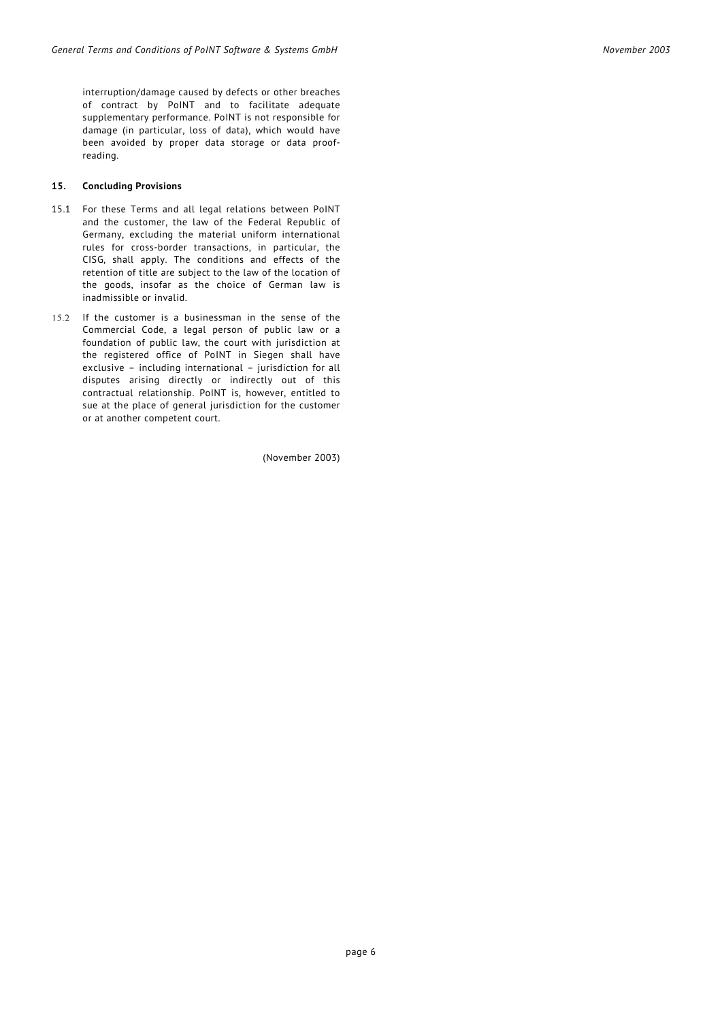interruption/damage caused by defects or other breaches of contract by PoINT and to facilitate adequate supplementary performance. PoINT is not responsible for damage (in particular, loss of data), which would have been avoided by proper data storage or data proofreading.

#### **15. Concluding Provisions**

- 15.1 For these Terms and all legal relations between PoINT and the customer, the law of the Federal Republic of Germany, excluding the material uniform international rules for cross-border transactions, in particular, the CISG, shall apply. The conditions and effects of the retention of title are subject to the law of the location of the goods, insofar as the choice of German law is inadmissible or invalid.
- 15.2 If the customer is a businessman in the sense of the Commercial Code, a legal person of public law or a foundation of public law, the court with jurisdiction at the registered office of PoINT in Siegen shall have exclusive – including international – jurisdiction for all disputes arising directly or indirectly out of this contractual relationship. PoINT is, however, entitled to sue at the place of general jurisdiction for the customer or at another competent court.

(November 2003)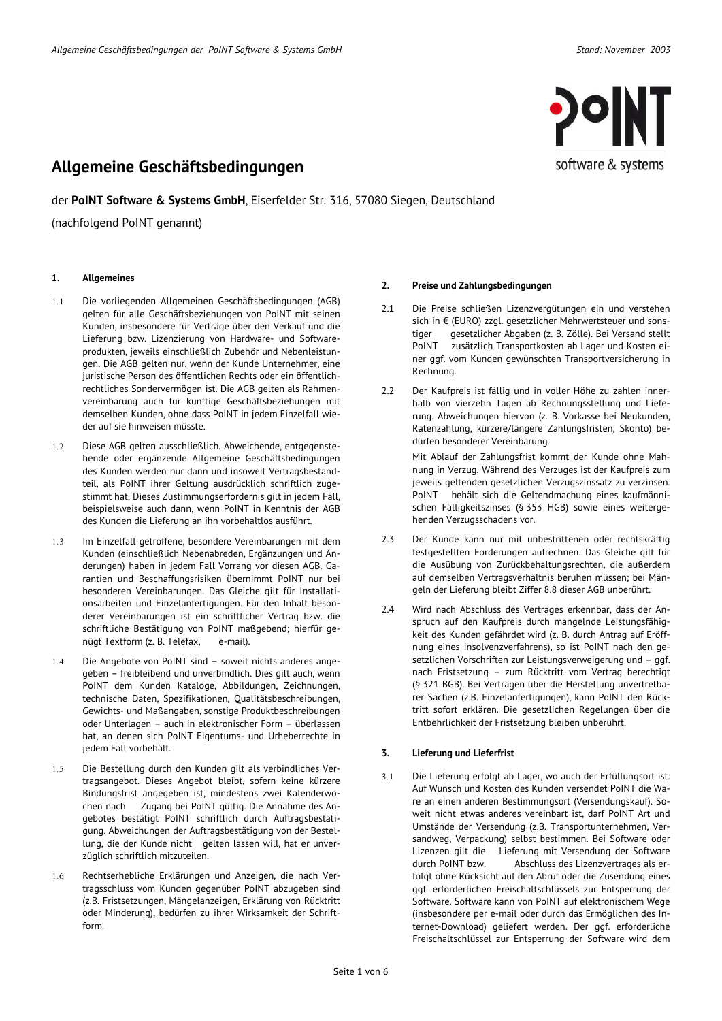der **PoINT Software & Systems GmbH**, Eiserfelder Str. 316, 57080 Siegen, Deutschland

(nachfolgend PoINT genannt)

#### **1. Allgemeines**

- 1.1 Die vorliegenden Allgemeinen Geschäftsbedingungen (AGB) gelten für alle Geschäftsbeziehungen von PoINT mit seinen Kunden, insbesondere für Verträge über den Verkauf und die Lieferung bzw. Lizenzierung von Hardware- und Softwareprodukten, jeweils einschließlich Zubehör und Nebenleistungen. Die AGB gelten nur, wenn der Kunde Unternehmer, eine juristische Person des öffentlichen Rechts oder ein öffentlichrechtliches Sondervermögen ist. Die AGB gelten als Rahmenvereinbarung auch für künftige Geschäftsbeziehungen mit demselben Kunden, ohne dass PoINT in jedem Einzelfall wieder auf sie hinweisen müsste.
- 1.2 Diese AGB gelten ausschließlich. Abweichende, entgegenstehende oder ergänzende Allgemeine Geschäftsbedingungen des Kunden werden nur dann und insoweit Vertragsbestandteil, als PoINT ihrer Geltung ausdrücklich schriftlich zugestimmt hat. Dieses Zustimmungserfordernis gilt in jedem Fall, beispielsweise auch dann, wenn PoINT in Kenntnis der AGB des Kunden die Lieferung an ihn vorbehaltlos ausführt.
- 1.3 Im Einzelfall getroffene, besondere Vereinbarungen mit dem Kunden (einschließlich Nebenabreden, Ergänzungen und Änderungen) haben in jedem Fall Vorrang vor diesen AGB. Garantien und Beschaffungsrisiken übernimmt PoINT nur bei besonderen Vereinbarungen. Das Gleiche gilt für Installationsarbeiten und Einzelanfertigungen. Für den Inhalt besonderer Vereinbarungen ist ein schriftlicher Vertrag bzw. die schriftliche Bestätigung von PoINT maßgebend; hierfür genügt Textform (z. B. Telefax, e-mail).
- 1.4 Die Angebote von PoINT sind soweit nichts anderes angegeben – freibleibend und unverbindlich. Dies gilt auch, wenn PoINT dem Kunden Kataloge, Abbildungen, Zeichnungen, technische Daten, Spezifikationen, Qualitätsbeschreibungen, Gewichts- und Maßangaben, sonstige Produktbeschreibungen oder Unterlagen – auch in elektronischer Form – überlassen hat, an denen sich PoINT Eigentums- und Urheberrechte in jedem Fall vorbehält.
- 1.5 Die Bestellung durch den Kunden gilt als verbindliches Vertragsangebot. Dieses Angebot bleibt, sofern keine kürzere Bindungsfrist angegeben ist, mindestens zwei Kalenderwochen nach Zugang bei PoINT gültig. Die Annahme des Angebotes bestätigt PoINT schriftlich durch Auftragsbestätigung. Abweichungen der Auftragsbestätigung von der Bestellung, die der Kunde nicht gelten lassen will, hat er unverzüglich schriftlich mitzuteilen.
- 1.6 Rechtserhebliche Erklärungen und Anzeigen, die nach Vertragsschluss vom Kunden gegenüber PoINT abzugeben sind (z.B. Fristsetzungen, Mängelanzeigen, Erklärung von Rücktritt oder Minderung), bedürfen zu ihrer Wirksamkeit der Schriftform.

#### **2. Preise und Zahlungsbedingungen**

- 2.1 Die Preise schließen Lizenzvergütungen ein und verstehen sich in € (EURO) zzgl. gesetzlicher Mehrwertsteuer und sonstiger gesetzlicher Abgaben (z. B. Zölle). Bei Versand stellt PoINT zusätzlich Transportkosten ab Lager und Kosten einer ggf. vom Kunden gewünschten Transportversicherung in Rechnung.
- 2.2 Der Kaufpreis ist fällig und in voller Höhe zu zahlen innerhalb von vierzehn Tagen ab Rechnungsstellung und Lieferung. Abweichungen hiervon (z. B. Vorkasse bei Neukunden, Ratenzahlung, kürzere/längere Zahlungsfristen, Skonto) bedürfen besonderer Vereinbarung.

Mit Ablauf der Zahlungsfrist kommt der Kunde ohne Mahnung in Verzug. Während des Verzuges ist der Kaufpreis zum jeweils geltenden gesetzlichen Verzugszinssatz zu verzinsen. PoINT behält sich die Geltendmachung eines kaufmännischen Fälligkeitszinses (§ 353 HGB) sowie eines weitergehenden Verzugsschadens vor.

- 2.3 Der Kunde kann nur mit unbestrittenen oder rechtskräftig festgestellten Forderungen aufrechnen. Das Gleiche gilt für die Ausübung von Zurückbehaltungsrechten, die außerdem auf demselben Vertragsverhältnis beruhen müssen; bei Mängeln der Lieferung bleibt Ziffer 8.8 dieser AGB unberührt.
- 2.4 Wird nach Abschluss des Vertrages erkennbar, dass der Anspruch auf den Kaufpreis durch mangelnde Leistungsfähigkeit des Kunden gefährdet wird (z. B. durch Antrag auf Eröffnung eines Insolvenzverfahrens), so ist PoINT nach den gesetzlichen Vorschriften zur Leistungsverweigerung und – ggf. nach Fristsetzung – zum Rücktritt vom Vertrag berechtigt (§ 321 BGB). Bei Verträgen über die Herstellung unvertretbarer Sachen (z.B. Einzelanfertigungen), kann PoINT den Rücktritt sofort erklären. Die gesetzlichen Regelungen über die Entbehrlichkeit der Fristsetzung bleiben unberührt.

### **3. Lieferung und Lieferfrist**

3.1 Die Lieferung erfolgt ab Lager, wo auch der Erfüllungsort ist. Auf Wunsch und Kosten des Kunden versendet PoINT die Ware an einen anderen Bestimmungsort (Versendungskauf). Soweit nicht etwas anderes vereinbart ist, darf PoINT Art und Umstände der Versendung (z.B. Transportunternehmen, Versandweg, Verpackung) selbst bestimmen. Bei Software oder Lizenzen gilt die Lieferung mit Versendung der Software durch PoINT bzw. Abschluss des Lizenzvertrages als erfolgt ohne Rücksicht auf den Abruf oder die Zusendung eines ggf. erforderlichen Freischaltschlüssels zur Entsperrung der Software. Software kann von PoINT auf elektronischem Wege (insbesondere per e-mail oder durch das Ermöglichen des Internet-Download) geliefert werden. Der ggf. erforderliche Freischaltschlüssel zur Entsperrung der Software wird dem

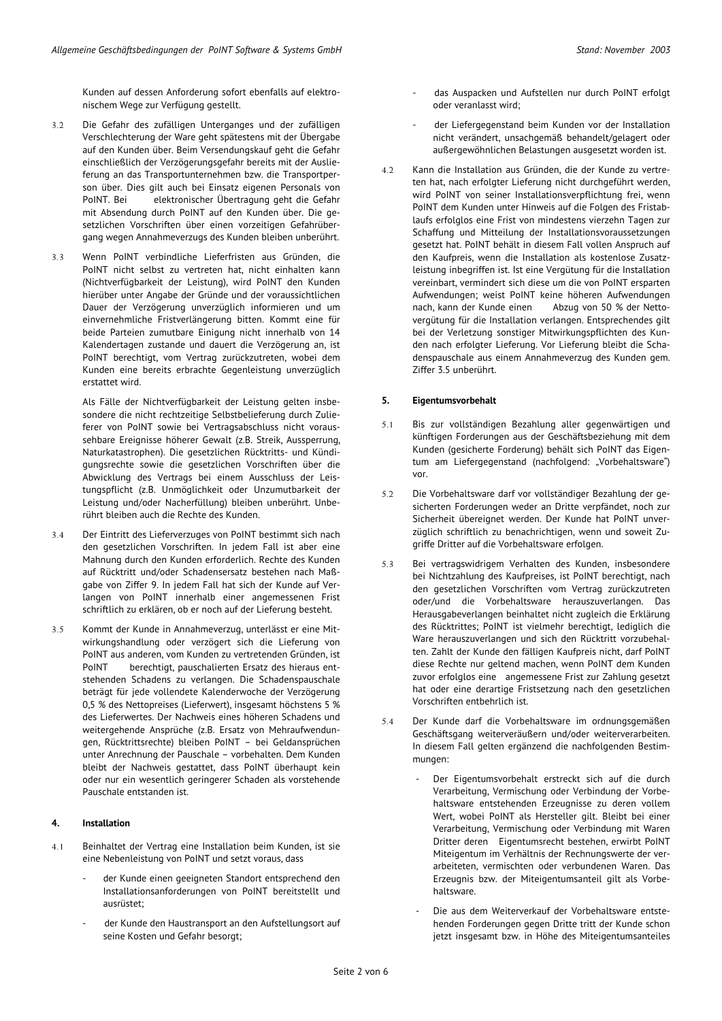Kunden auf dessen Anforderung sofort ebenfalls auf elektronischem Wege zur Verfügung gestellt.

- 3.2 Die Gefahr des zufälligen Unterganges und der zufälligen Verschlechterung der Ware geht spätestens mit der Übergabe auf den Kunden über. Beim Versendungskauf geht die Gefahr einschließlich der Verzögerungsgefahr bereits mit der Auslieferung an das Transportunternehmen bzw. die Transportperson über. Dies gilt auch bei Einsatz eigenen Personals von PoINT. Bei elektronischer Übertragung geht die Gefahr mit Absendung durch PoINT auf den Kunden über. Die gesetzlichen Vorschriften über einen vorzeitigen Gefahrübergang wegen Annahmeverzugs des Kunden bleiben unberührt.
- 3.3 Wenn PoINT verbindliche Lieferfristen aus Gründen, die PoINT nicht selbst zu vertreten hat, nicht einhalten kann (Nichtverfügbarkeit der Leistung), wird PoINT den Kunden hierüber unter Angabe der Gründe und der voraussichtlichen Dauer der Verzögerung unverzüglich informieren und um einvernehmliche Fristverlängerung bitten. Kommt eine für beide Parteien zumutbare Einigung nicht innerhalb von 14 Kalendertagen zustande und dauert die Verzögerung an, ist PoINT berechtigt, vom Vertrag zurückzutreten, wobei dem Kunden eine bereits erbrachte Gegenleistung unverzüglich erstattet wird.

Als Fälle der Nichtverfügbarkeit der Leistung gelten insbesondere die nicht rechtzeitige Selbstbelieferung durch Zulieferer von PoINT sowie bei Vertragsabschluss nicht voraussehbare Ereignisse höherer Gewalt (z.B. Streik, Aussperrung, Naturkatastrophen). Die gesetzlichen Rücktritts- und Kündigungsrechte sowie die gesetzlichen Vorschriften über die Abwicklung des Vertrags bei einem Ausschluss der Leistungspflicht (z.B. Unmöglichkeit oder Unzumutbarkeit der Leistung und/oder Nacherfüllung) bleiben unberührt. Unberührt bleiben auch die Rechte des Kunden.

- 3.4 Der Eintritt des Lieferverzuges von PoINT bestimmt sich nach den gesetzlichen Vorschriften. In jedem Fall ist aber eine Mahnung durch den Kunden erforderlich. Rechte des Kunden auf Rücktritt und/oder Schadensersatz bestehen nach Maßgabe von Ziffer 9. In jedem Fall hat sich der Kunde auf Verlangen von PoINT innerhalb einer angemessenen Frist schriftlich zu erklären, ob er noch auf der Lieferung besteht.
- 3.5 Kommt der Kunde in Annahmeverzug, unterlässt er eine Mitwirkungshandlung oder verzögert sich die Lieferung von PoINT aus anderen, vom Kunden zu vertretenden Gründen, ist PoINT berechtigt, pauschalierten Ersatz des hieraus entstehenden Schadens zu verlangen. Die Schadenspauschale beträgt für jede vollendete Kalenderwoche der Verzögerung 0,5 % des Nettopreises (Lieferwert), insgesamt höchstens 5 % des Lieferwertes. Der Nachweis eines höheren Schadens und weitergehende Ansprüche (z.B. Ersatz von Mehraufwendungen, Rücktrittsrechte) bleiben PoINT – bei Geldansprüchen unter Anrechnung der Pauschale – vorbehalten. Dem Kunden bleibt der Nachweis gestattet, dass PoINT überhaupt kein oder nur ein wesentlich geringerer Schaden als vorstehende Pauschale entstanden ist.

#### **4. Installation**

- 4.1 Beinhaltet der Vertrag eine Installation beim Kunden, ist sie eine Nebenleistung von PoINT und setzt voraus, dass
	- der Kunde einen geeigneten Standort entsprechend den Installationsanforderungen von PoINT bereitstellt und ausrüstet;
	- der Kunde den Haustransport an den Aufstellungsort auf seine Kosten und Gefahr besorgt;
- das Auspacken und Aufstellen nur durch PoINT erfolgt oder veranlasst wird;
- der Liefergegenstand beim Kunden vor der Installation nicht verändert, unsachgemäß behandelt/gelagert oder außergewöhnlichen Belastungen ausgesetzt worden ist.
- 4.2 Kann die Installation aus Gründen, die der Kunde zu vertreten hat, nach erfolgter Lieferung nicht durchgeführt werden, wird PoINT von seiner Installationsverpflichtung frei, wenn PoINT dem Kunden unter Hinweis auf die Folgen des Fristablaufs erfolglos eine Frist von mindestens vierzehn Tagen zur Schaffung und Mitteilung der Installationsvoraussetzungen gesetzt hat. PoINT behält in diesem Fall vollen Anspruch auf den Kaufpreis, wenn die Installation als kostenlose Zusatzleistung inbegriffen ist. Ist eine Vergütung für die Installation vereinbart, vermindert sich diese um die von PoINT ersparten Aufwendungen; weist PoINT keine höheren Aufwendungen nach, kann der Kunde einen Abzug von 50 % der Nettovergütung für die Installation verlangen. Entsprechendes gilt bei der Verletzung sonstiger Mitwirkungspflichten des Kunden nach erfolgter Lieferung. Vor Lieferung bleibt die Schadenspauschale aus einem Annahmeverzug des Kunden gem. Ziffer 3.5 unberührt.

#### **5. Eigentumsvorbehalt**

- 5.1 Bis zur vollständigen Bezahlung aller gegenwärtigen und künftigen Forderungen aus der Geschäftsbeziehung mit dem Kunden (gesicherte Forderung) behält sich PoINT das Eigentum am Liefergegenstand (nachfolgend: "Vorbehaltsware") vor.
- 5.2 Die Vorbehaltsware darf vor vollständiger Bezahlung der gesicherten Forderungen weder an Dritte verpfändet, noch zur Sicherheit übereignet werden. Der Kunde hat PoINT unverzüglich schriftlich zu benachrichtigen, wenn und soweit Zugriffe Dritter auf die Vorbehaltsware erfolgen.
- 5.3 Bei vertragswidrigem Verhalten des Kunden, insbesondere bei Nichtzahlung des Kaufpreises, ist PoINT berechtigt, nach den gesetzlichen Vorschriften vom Vertrag zurückzutreten oder/und die Vorbehaltsware herauszuverlangen. Das Herausgabeverlangen beinhaltet nicht zugleich die Erklärung des Rücktrittes; PoINT ist vielmehr berechtigt, lediglich die Ware herauszuverlangen und sich den Rücktritt vorzubehalten. Zahlt der Kunde den fälligen Kaufpreis nicht, darf PoINT diese Rechte nur geltend machen, wenn PoINT dem Kunden zuvor erfolglos eine angemessene Frist zur Zahlung gesetzt hat oder eine derartige Fristsetzung nach den gesetzlichen Vorschriften entbehrlich ist.
- 5.4 Der Kunde darf die Vorbehaltsware im ordnungsgemäßen Geschäftsgang weiterveräußern und/oder weiterverarbeiten. In diesem Fall gelten ergänzend die nachfolgenden Bestimmungen:
	- Der Eigentumsvorbehalt erstreckt sich auf die durch Verarbeitung, Vermischung oder Verbindung der Vorbehaltsware entstehenden Erzeugnisse zu deren vollem Wert, wobei PoINT als Hersteller gilt. Bleibt bei einer Verarbeitung, Vermischung oder Verbindung mit Waren Dritter deren Eigentumsrecht bestehen, erwirbt PoINT Miteigentum im Verhältnis der Rechnungswerte der verarbeiteten, vermischten oder verbundenen Waren. Das Erzeugnis bzw. der Miteigentumsanteil gilt als Vorbehaltsware.
	- Die aus dem Weiterverkauf der Vorbehaltsware entstehenden Forderungen gegen Dritte tritt der Kunde schon jetzt insgesamt bzw. in Höhe des Miteigentumsanteiles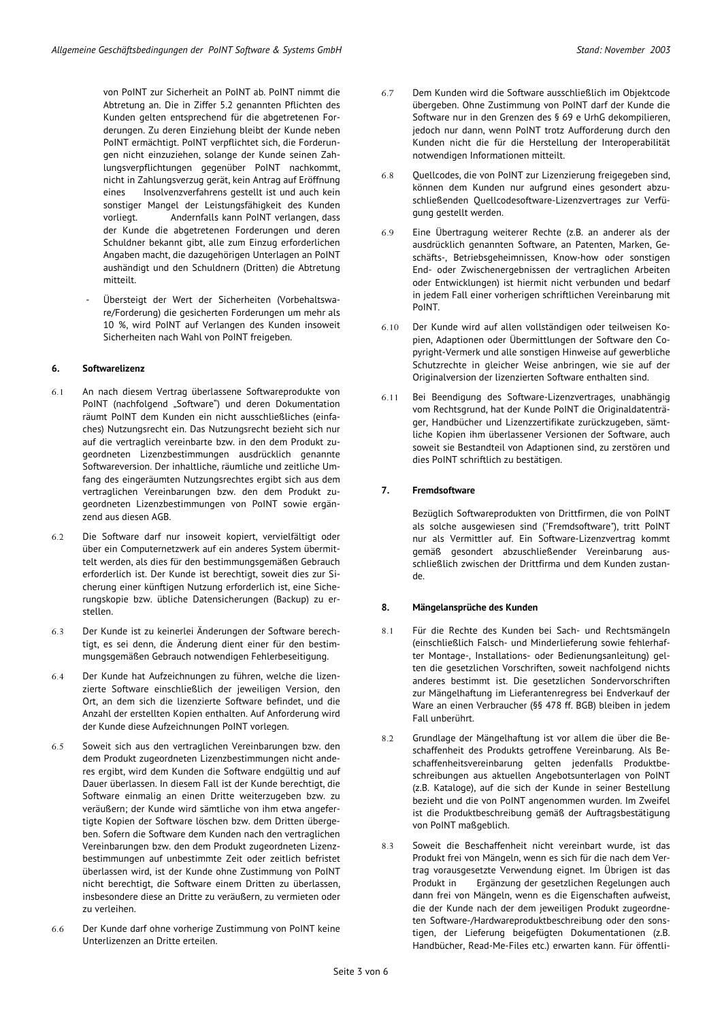von PoINT zur Sicherheit an PoINT ab. PoINT nimmt die Abtretung an. Die in Ziffer 5.2 genannten Pflichten des Kunden gelten entsprechend für die abgetretenen Forderungen. Zu deren Einziehung bleibt der Kunde neben PoINT ermächtigt. PoINT verpflichtet sich, die Forderungen nicht einzuziehen, solange der Kunde seinen Zahlungsverpflichtungen gegenüber PoINT nachkommt, nicht in Zahlungsverzug gerät, kein Antrag auf Eröffnung eines Insolvenzverfahrens gestellt ist und auch kein sonstiger Mangel der Leistungsfähigkeit des Kunden vorliegt. Andernfalls kann PoINT verlangen, dass der Kunde die abgetretenen Forderungen und deren Schuldner bekannt gibt, alle zum Einzug erforderlichen Angaben macht, die dazugehörigen Unterlagen an PoINT aushändigt und den Schuldnern (Dritten) die Abtretung mitteilt.

- Übersteigt der Wert der Sicherheiten (Vorbehaltsware/Forderung) die gesicherten Forderungen um mehr als 10 %, wird PoINT auf Verlangen des Kunden insoweit Sicherheiten nach Wahl von PoINT freigeben.

#### **6. Softwarelizenz**

- 6.1 An nach diesem Vertrag überlassene Softwareprodukte von PoINT (nachfolgend "Software") und deren Dokumentation räumt PoINT dem Kunden ein nicht ausschließliches (einfaches) Nutzungsrecht ein. Das Nutzungsrecht bezieht sich nur auf die vertraglich vereinbarte bzw. in den dem Produkt zugeordneten Lizenzbestimmungen ausdrücklich genannte Softwareversion. Der inhaltliche, räumliche und zeitliche Umfang des eingeräumten Nutzungsrechtes ergibt sich aus dem vertraglichen Vereinbarungen bzw. den dem Produkt zugeordneten Lizenzbestimmungen von PoINT sowie ergänzend aus diesen AGB.
- 6.2 Die Software darf nur insoweit kopiert, vervielfältigt oder über ein Computernetzwerk auf ein anderes System übermittelt werden, als dies für den bestimmungsgemäßen Gebrauch erforderlich ist. Der Kunde ist berechtigt, soweit dies zur Sicherung einer künftigen Nutzung erforderlich ist, eine Sicherungskopie bzw. übliche Datensicherungen (Backup) zu erstellen.
- 6.3 Der Kunde ist zu keinerlei Änderungen der Software berechtigt, es sei denn, die Änderung dient einer für den bestimmungsgemäßen Gebrauch notwendigen Fehlerbeseitigung.
- 6.4 Der Kunde hat Aufzeichnungen zu führen, welche die lizenzierte Software einschließlich der jeweiligen Version, den Ort, an dem sich die lizenzierte Software befindet, und die Anzahl der erstellten Kopien enthalten. Auf Anforderung wird der Kunde diese Aufzeichnungen PoINT vorlegen.
- 6.5 Soweit sich aus den vertraglichen Vereinbarungen bzw. den dem Produkt zugeordneten Lizenzbestimmungen nicht anderes ergibt, wird dem Kunden die Software endgültig und auf Dauer überlassen. In diesem Fall ist der Kunde berechtigt, die Software einmalig an einen Dritte weiterzugeben bzw. zu veräußern; der Kunde wird sämtliche von ihm etwa angefertigte Kopien der Software löschen bzw. dem Dritten übergeben. Sofern die Software dem Kunden nach den vertraglichen Vereinbarungen bzw. den dem Produkt zugeordneten Lizenzbestimmungen auf unbestimmte Zeit oder zeitlich befristet überlassen wird, ist der Kunde ohne Zustimmung von PoINT nicht berechtigt, die Software einem Dritten zu überlassen, insbesondere diese an Dritte zu veräußern, zu vermieten oder zu verleihen.
- 6.6 Der Kunde darf ohne vorherige Zustimmung von PoINT keine Unterlizenzen an Dritte erteilen.

Kunden nicht die für die Herstellung der Interoperabilität

6.8 Quellcodes, die von PoINT zur Lizenzierung freigegeben sind, können dem Kunden nur aufgrund eines gesondert abzuschließenden Quellcodesoftware-Lizenzvertrages zur Verfügung gestellt werden.

notwendigen Informationen mitteilt.

- 6.9 Eine Übertragung weiterer Rechte (z.B. an anderer als der ausdrücklich genannten Software, an Patenten, Marken, Geschäfts-, Betriebsgeheimnissen, Know-how oder sonstigen End- oder Zwischenergebnissen der vertraglichen Arbeiten oder Entwicklungen) ist hiermit nicht verbunden und bedarf in jedem Fall einer vorherigen schriftlichen Vereinbarung mit PoINT.
- 6.10 Der Kunde wird auf allen vollständigen oder teilweisen Kopien, Adaptionen oder Übermittlungen der Software den Copyright-Vermerk und alle sonstigen Hinweise auf gewerbliche Schutzrechte in gleicher Weise anbringen, wie sie auf der Originalversion der lizenzierten Software enthalten sind.
- 6.11 Bei Beendigung des Software-Lizenzvertrages, unabhängig vom Rechtsgrund, hat der Kunde PoINT die Originaldatenträger, Handbücher und Lizenzzertifikate zurückzugeben, sämtliche Kopien ihm überlassener Versionen der Software, auch soweit sie Bestandteil von Adaptionen sind, zu zerstören und dies PoINT schriftlich zu bestätigen.

#### **7. Fremdsoftware**

Bezüglich Softwareprodukten von Drittfirmen, die von PoINT als solche ausgewiesen sind ("Fremdsoftware"), tritt PoINT nur als Vermittler auf. Ein Software-Lizenzvertrag kommt gemäß gesondert abzuschließender Vereinbarung ausschließlich zwischen der Drittfirma und dem Kunden zustande.

#### **8. Mängelansprüche des Kunden**

- 8.1 Für die Rechte des Kunden bei Sach- und Rechtsmängeln (einschließlich Falsch- und Minderlieferung sowie fehlerhafter Montage-, Installations- oder Bedienungsanleitung) gelten die gesetzlichen Vorschriften, soweit nachfolgend nichts anderes bestimmt ist. Die gesetzlichen Sondervorschriften zur Mängelhaftung im Lieferantenregress bei Endverkauf der Ware an einen Verbraucher (§§ 478 ff. BGB) bleiben in jedem Fall unberührt.
- 8.2 Grundlage der Mängelhaftung ist vor allem die über die Beschaffenheit des Produkts getroffene Vereinbarung. Als Beschaffenheitsvereinbarung gelten jedenfalls Produktbeschreibungen aus aktuellen Angebotsunterlagen von PoINT (z.B. Kataloge), auf die sich der Kunde in seiner Bestellung bezieht und die von PoINT angenommen wurden. Im Zweifel ist die Produktbeschreibung gemäß der Auftragsbestätigung von PoINT maßgeblich.
- 8.3 Soweit die Beschaffenheit nicht vereinbart wurde, ist das Produkt frei von Mängeln, wenn es sich für die nach dem Vertrag vorausgesetzte Verwendung eignet. Im Übrigen ist das Produkt in Ergänzung der gesetzlichen Regelungen auch dann frei von Mängeln, wenn es die Eigenschaften aufweist, die der Kunde nach der dem jeweiligen Produkt zugeordneten Software-/Hardwareproduktbeschreibung oder den sonstigen, der Lieferung beigefügten Dokumentationen (z.B. Handbücher, Read-Me-Files etc.) erwarten kann. Für öffentli-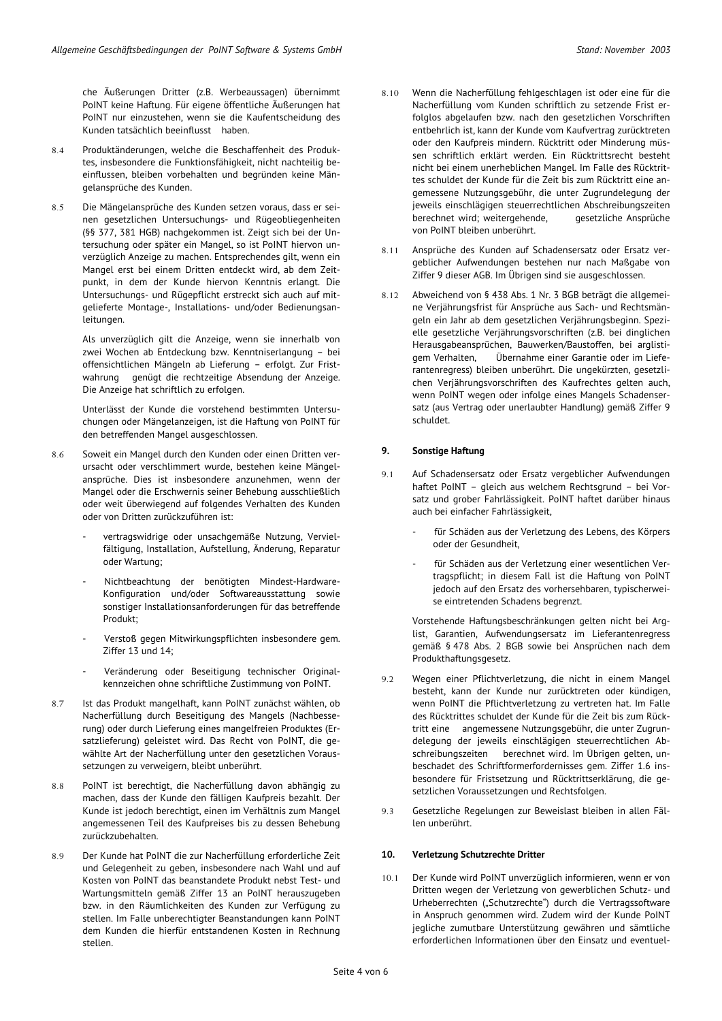che Äußerungen Dritter (z.B. Werbeaussagen) übernimmt PoINT keine Haftung. Für eigene öffentliche Äußerungen hat PoINT nur einzustehen, wenn sie die Kaufentscheidung des Kunden tatsächlich beeinflusst haben.

- 8.4 Produktänderungen, welche die Beschaffenheit des Produktes, insbesondere die Funktionsfähigkeit, nicht nachteilig beeinflussen, bleiben vorbehalten und begründen keine Mängelansprüche des Kunden.
- 8.5 Die Mängelansprüche des Kunden setzen voraus, dass er seinen gesetzlichen Untersuchungs- und Rügeobliegenheiten (§§ 377, 381 HGB) nachgekommen ist. Zeigt sich bei der Untersuchung oder später ein Mangel, so ist PoINT hiervon unverzüglich Anzeige zu machen. Entsprechendes gilt, wenn ein Mangel erst bei einem Dritten entdeckt wird, ab dem Zeitpunkt, in dem der Kunde hiervon Kenntnis erlangt. Die Untersuchungs- und Rügepflicht erstreckt sich auch auf mitgelieferte Montage-, Installations- und/oder Bedienungsanleitungen.

Als unverzüglich gilt die Anzeige, wenn sie innerhalb von zwei Wochen ab Entdeckung bzw. Kenntniserlangung – bei offensichtlichen Mängeln ab Lieferung – erfolgt. Zur Fristwahrung genügt die rechtzeitige Absendung der Anzeige. Die Anzeige hat schriftlich zu erfolgen.

Unterlässt der Kunde die vorstehend bestimmten Untersuchungen oder Mängelanzeigen, ist die Haftung von PoINT für den betreffenden Mangel ausgeschlossen.

- 8.6 Soweit ein Mangel durch den Kunden oder einen Dritten verursacht oder verschlimmert wurde, bestehen keine Mängelansprüche. Dies ist insbesondere anzunehmen, wenn der Mangel oder die Erschwernis seiner Behebung ausschließlich oder weit überwiegend auf folgendes Verhalten des Kunden oder von Dritten zurückzuführen ist:
	- vertragswidrige oder unsachgemäße Nutzung, Vervielfältigung, Installation, Aufstellung, Änderung, Reparatur oder Wartung;
	- Nichtbeachtung der benötigten Mindest-Hardware-Konfiguration und/oder Softwareausstattung sowie sonstiger Installationsanforderungen für das betreffende Produkt;
	- Verstoß gegen Mitwirkungspflichten insbesondere gem. Ziffer 13 und 14;
	- Veränderung oder Beseitigung technischer Originalkennzeichen ohne schriftliche Zustimmung von PoINT.
- 8.7 Ist das Produkt mangelhaft, kann PoINT zunächst wählen, ob Nacherfüllung durch Beseitigung des Mangels (Nachbesserung) oder durch Lieferung eines mangelfreien Produktes (Ersatzlieferung) geleistet wird. Das Recht von PoINT, die gewählte Art der Nacherfüllung unter den gesetzlichen Voraussetzungen zu verweigern, bleibt unberührt.
- 8.8 PoINT ist berechtigt, die Nacherfüllung davon abhängig zu machen, dass der Kunde den fälligen Kaufpreis bezahlt. Der Kunde ist jedoch berechtigt, einen im Verhältnis zum Mangel angemessenen Teil des Kaufpreises bis zu dessen Behebung zurückzubehalten.
- 8.9 Der Kunde hat PoINT die zur Nacherfüllung erforderliche Zeit und Gelegenheit zu geben, insbesondere nach Wahl und auf Kosten von PoINT das beanstandete Produkt nebst Test- und Wartungsmitteln gemäß Ziffer 13 an PoINT herauszugeben bzw. in den Räumlichkeiten des Kunden zur Verfügung zu stellen. Im Falle unberechtigter Beanstandungen kann PoINT dem Kunden die hierfür entstandenen Kosten in Rechnung stellen.
- 8.10 Wenn die Nacherfüllung fehlgeschlagen ist oder eine für die Nacherfüllung vom Kunden schriftlich zu setzende Frist erfolglos abgelaufen bzw. nach den gesetzlichen Vorschriften entbehrlich ist, kann der Kunde vom Kaufvertrag zurücktreten oder den Kaufpreis mindern. Rücktritt oder Minderung müssen schriftlich erklärt werden. Ein Rücktrittsrecht besteht nicht bei einem unerheblichen Mangel. Im Falle des Rücktrittes schuldet der Kunde für die Zeit bis zum Rücktritt eine angemessene Nutzungsgebühr, die unter Zugrundelegung der jeweils einschlägigen steuerrechtlichen Abschreibungszeiten berechnet wird; weitergehende, gesetzliche Ansprüche von PoINT bleiben unberührt.
- 8.11 Ansprüche des Kunden auf Schadensersatz oder Ersatz vergeblicher Aufwendungen bestehen nur nach Maßgabe von Ziffer 9 dieser AGB. Im Übrigen sind sie ausgeschlossen.
- 8.12 Abweichend von § 438 Abs. 1 Nr. 3 BGB beträgt die allgemeine Verjährungsfrist für Ansprüche aus Sach- und Rechtsmängeln ein Jahr ab dem gesetzlichen Verjährungsbeginn. Spezielle gesetzliche Verjährungsvorschriften (z.B. bei dinglichen Herausgabeansprüchen, Bauwerken/Baustoffen, bei arglistigem Verhalten, Übernahme einer Garantie oder im Lieferantenregress) bleiben unberührt. Die ungekürzten, gesetzlichen Verjährungsvorschriften des Kaufrechtes gelten auch, wenn PoINT wegen oder infolge eines Mangels Schadensersatz (aus Vertrag oder unerlaubter Handlung) gemäß Ziffer 9 schuldet.

#### **9. Sonstige Haftung**

- 9.1 Auf Schadensersatz oder Ersatz vergeblicher Aufwendungen haftet PoINT – gleich aus welchem Rechtsgrund – bei Vorsatz und grober Fahrlässigkeit. PoINT haftet darüber hinaus auch bei einfacher Fahrlässigkeit,
	- für Schäden aus der Verletzung des Lebens, des Körpers oder der Gesundheit,
	- für Schäden aus der Verletzung einer wesentlichen Vertragspflicht; in diesem Fall ist die Haftung von PoINT jedoch auf den Ersatz des vorhersehbaren, typischerweise eintretenden Schadens begrenzt.

Vorstehende Haftungsbeschränkungen gelten nicht bei Arglist, Garantien, Aufwendungsersatz im Lieferantenregress gemäß § 478 Abs. 2 BGB sowie bei Ansprüchen nach dem Produkthaftungsgesetz.

- 9.2 Wegen einer Pflichtverletzung, die nicht in einem Mangel besteht, kann der Kunde nur zurücktreten oder kündigen, wenn PoINT die Pflichtverletzung zu vertreten hat. Im Falle des Rücktrittes schuldet der Kunde für die Zeit bis zum Rücktritt eine angemessene Nutzungsgebühr, die unter Zugrundelegung der jeweils einschlägigen steuerrechtlichen Abschreibungszeiten berechnet wird. Im Übrigen gelten, unbeschadet des Schriftformerfordernisses gem. Ziffer 1.6 insbesondere für Fristsetzung und Rücktrittserklärung, die gesetzlichen Voraussetzungen und Rechtsfolgen.
- 9.3 Gesetzliche Regelungen zur Beweislast bleiben in allen Fällen unberührt.

#### **10. Verletzung Schutzrechte Dritter**

10.1 Der Kunde wird PoINT unverzüglich informieren, wenn er von Dritten wegen der Verletzung von gewerblichen Schutz- und Urheberrechten ("Schutzrechte") durch die Vertragssoftware in Anspruch genommen wird. Zudem wird der Kunde PoINT jegliche zumutbare Unterstützung gewähren und sämtliche erforderlichen Informationen über den Einsatz und eventuel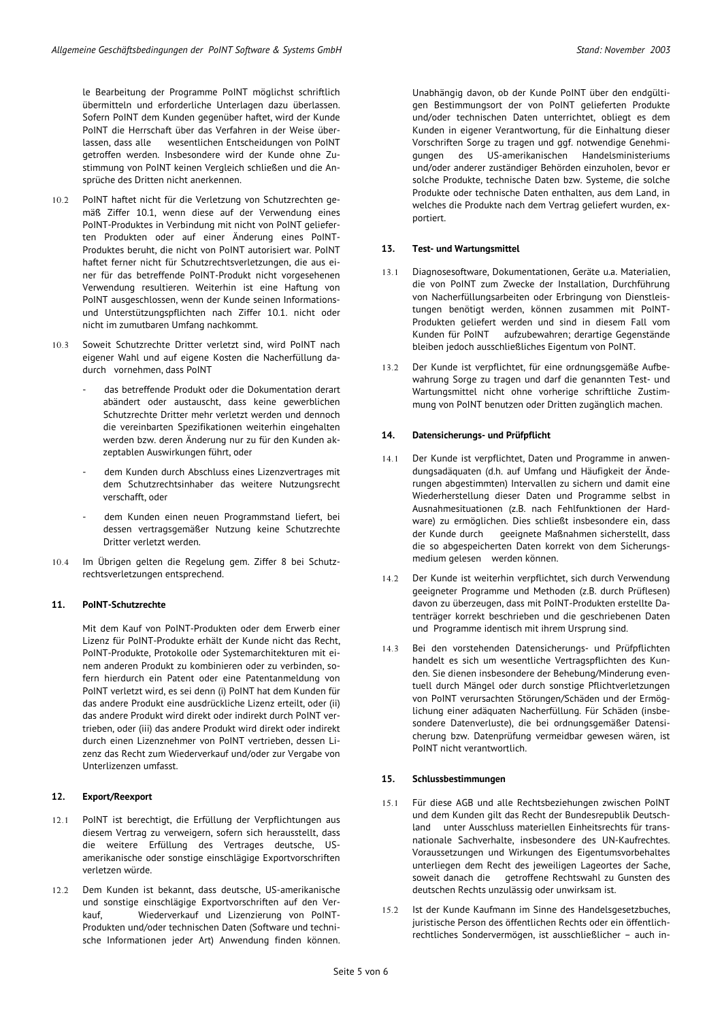le Bearbeitung der Programme PoINT möglichst schriftlich übermitteln und erforderliche Unterlagen dazu überlassen. Sofern PoINT dem Kunden gegenüber haftet, wird der Kunde PoINT die Herrschaft über das Verfahren in der Weise überlassen, dass alle wesentlichen Entscheidungen von PoINT getroffen werden. Insbesondere wird der Kunde ohne Zustimmung von PoINT keinen Vergleich schließen und die Ansprüche des Dritten nicht anerkennen.

- 10.2 PoINT haftet nicht für die Verletzung von Schutzrechten gemäß Ziffer 10.1, wenn diese auf der Verwendung eines PoINT-Produktes in Verbindung mit nicht von PoINT gelieferten Produkten oder auf einer Änderung eines PoINT-Produktes beruht, die nicht von PoINT autorisiert war. PoINT haftet ferner nicht für Schutzrechtsverletzungen, die aus einer für das betreffende PoINT-Produkt nicht vorgesehenen Verwendung resultieren. Weiterhin ist eine Haftung von PoINT ausgeschlossen, wenn der Kunde seinen Informationsund Unterstützungspflichten nach Ziffer 10.1. nicht oder nicht im zumutbaren Umfang nachkommt.
- 10.3 Soweit Schutzrechte Dritter verletzt sind, wird PoINT nach eigener Wahl und auf eigene Kosten die Nacherfüllung dadurch vornehmen, dass PoINT
	- das betreffende Produkt oder die Dokumentation derart abändert oder austauscht, dass keine gewerblichen Schutzrechte Dritter mehr verletzt werden und dennoch die vereinbarten Spezifikationen weiterhin eingehalten werden bzw. deren Änderung nur zu für den Kunden akzeptablen Auswirkungen führt, oder
	- dem Kunden durch Abschluss eines Lizenzvertrages mit dem Schutzrechtsinhaber das weitere Nutzungsrecht verschafft, oder
	- dem Kunden einen neuen Programmstand liefert, bei dessen vertragsgemäßer Nutzung keine Schutzrechte Dritter verletzt werden.
- 10.4 Im Übrigen gelten die Regelung gem. Ziffer 8 bei Schutzrechtsverletzungen entsprechend.

#### **11. PoINT-Schutzrechte**

Mit dem Kauf von PoINT-Produkten oder dem Erwerb einer Lizenz für PoINT-Produkte erhält der Kunde nicht das Recht, PoINT-Produkte, Protokolle oder Systemarchitekturen mit einem anderen Produkt zu kombinieren oder zu verbinden, sofern hierdurch ein Patent oder eine Patentanmeldung von PoINT verletzt wird, es sei denn (i) PoINT hat dem Kunden für das andere Produkt eine ausdrückliche Lizenz erteilt, oder (ii) das andere Produkt wird direkt oder indirekt durch PoINT vertrieben, oder (iii) das andere Produkt wird direkt oder indirekt durch einen Lizenznehmer von PoINT vertrieben, dessen Lizenz das Recht zum Wiederverkauf und/oder zur Vergabe von Unterlizenzen umfasst.

#### **12. Export/Reexport**

- 12.1 PoINT ist berechtigt, die Erfüllung der Verpflichtungen aus diesem Vertrag zu verweigern, sofern sich herausstellt, dass die weitere Erfüllung des Vertrages deutsche, USamerikanische oder sonstige einschlägige Exportvorschriften verletzen würde.
- 12.2 Dem Kunden ist bekannt, dass deutsche, US-amerikanische und sonstige einschlägige Exportvorschriften auf den Verkauf, Wiederverkauf und Lizenzierung von PoINT-Produkten und/oder technischen Daten (Software und technische Informationen jeder Art) Anwendung finden können.

Unabhängig davon, ob der Kunde PoINT über den endgültigen Bestimmungsort der von PoINT gelieferten Produkte und/oder technischen Daten unterrichtet, obliegt es dem Kunden in eigener Verantwortung, für die Einhaltung dieser Vorschriften Sorge zu tragen und ggf. notwendige Genehmigungen des US-amerikanischen Handelsministeriums und/oder anderer zuständiger Behörden einzuholen, bevor er solche Produkte, technische Daten bzw. Systeme, die solche Produkte oder technische Daten enthalten, aus dem Land, in welches die Produkte nach dem Vertrag geliefert wurden, exportiert.

#### **13. Test- und Wartungsmittel**

- 13.1 Diagnosesoftware, Dokumentationen, Geräte u.a. Materialien, die von PoINT zum Zwecke der Installation, Durchführung von Nacherfüllungsarbeiten oder Erbringung von Dienstleistungen benötigt werden, können zusammen mit PoINT-Produkten geliefert werden und sind in diesem Fall vom<br>Kunden für PoINT aufzubewahren; derartige Gegenstände aufzubewahren; derartige Gegenstände bleiben jedoch ausschließliches Eigentum von PoINT.
- 13.2 Der Kunde ist verpflichtet, für eine ordnungsgemäße Aufbewahrung Sorge zu tragen und darf die genannten Test- und Wartungsmittel nicht ohne vorherige schriftliche Zustimmung von PoINT benutzen oder Dritten zugänglich machen.

#### **14. Datensicherungs- und Prüfpflicht**

- 14.1 Der Kunde ist verpflichtet, Daten und Programme in anwendungsadäquaten (d.h. auf Umfang und Häufigkeit der Änderungen abgestimmten) Intervallen zu sichern und damit eine Wiederherstellung dieser Daten und Programme selbst in Ausnahmesituationen (z.B. nach Fehlfunktionen der Hardware) zu ermöglichen. Dies schließt insbesondere ein, dass der Kunde durch geeignete Maßnahmen sicherstellt, dass die so abgespeicherten Daten korrekt von dem Sicherungsmedium gelesen werden können.
- 14.2 Der Kunde ist weiterhin verpflichtet, sich durch Verwendung geeigneter Programme und Methoden (z.B. durch Prüflesen) davon zu überzeugen, dass mit PoINT-Produkten erstellte Datenträger korrekt beschrieben und die geschriebenen Daten und Programme identisch mit ihrem Ursprung sind.
- 14.3 Bei den vorstehenden Datensicherungs- und Prüfpflichten handelt es sich um wesentliche Vertragspflichten des Kunden. Sie dienen insbesondere der Behebung/Minderung eventuell durch Mängel oder durch sonstige Pflichtverletzungen von PoINT verursachten Störungen/Schäden und der Ermöglichung einer adäquaten Nacherfüllung. Für Schäden (insbesondere Datenverluste), die bei ordnungsgemäßer Datensicherung bzw. Datenprüfung vermeidbar gewesen wären, ist PoINT nicht verantwortlich.

#### **15. Schlussbestimmungen**

- 15.1 Für diese AGB und alle Rechtsbeziehungen zwischen PoINT und dem Kunden gilt das Recht der Bundesrepublik Deutschland unter Ausschluss materiellen Einheitsrechts für transnationale Sachverhalte, insbesondere des UN-Kaufrechtes. Voraussetzungen und Wirkungen des Eigentumsvorbehaltes unterliegen dem Recht des jeweiligen Lageortes der Sache, soweit danach die getroffene Rechtswahl zu Gunsten des deutschen Rechts unzulässig oder unwirksam ist.
- 15.2 Ist der Kunde Kaufmann im Sinne des Handelsgesetzbuches, juristische Person des öffentlichen Rechts oder ein öffentlichrechtliches Sondervermögen, ist ausschließlicher – auch in-